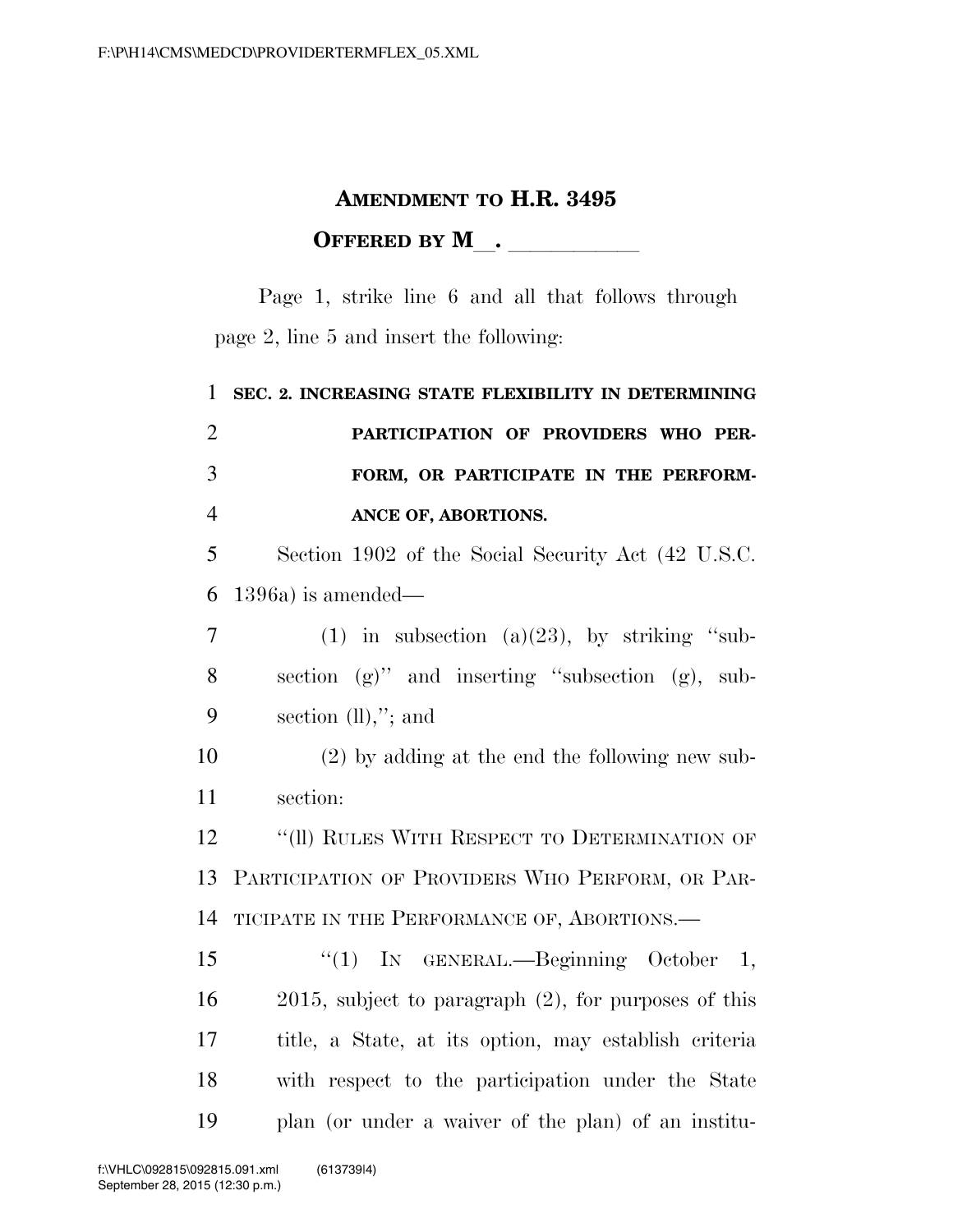## **AMENDMENT TO H.R. 3495 OFFERED BY M**.

Page 1, strike line 6 and all that follows through page 2, line 5 and insert the following:

 **SEC. 2. INCREASING STATE FLEXIBILITY IN DETERMINING PARTICIPATION OF PROVIDERS WHO PER- FORM, OR PARTICIPATE IN THE PERFORM- ANCE OF, ABORTIONS.**  Section 1902 of the Social Security Act (42 U.S.C. 1396a) is amended— 7 (1) in subsection (a) $(23)$ , by striking "sub- section (g)'' and inserting ''subsection (g), sub- section (ll),''; and (2) by adding at the end the following new sub- section: 12 "(II) RULES WITH RESPECT TO DETERMINATION OF PARTICIPATION OF PROVIDERS WHO PERFORM, OR PAR- TICIPATE IN THE PERFORMANCE OF, ABORTIONS.— ''(1) IN GENERAL.—Beginning October 1, 2015, subject to paragraph (2), for purposes of this title, a State, at its option, may establish criteria with respect to the participation under the State plan (or under a waiver of the plan) of an institu